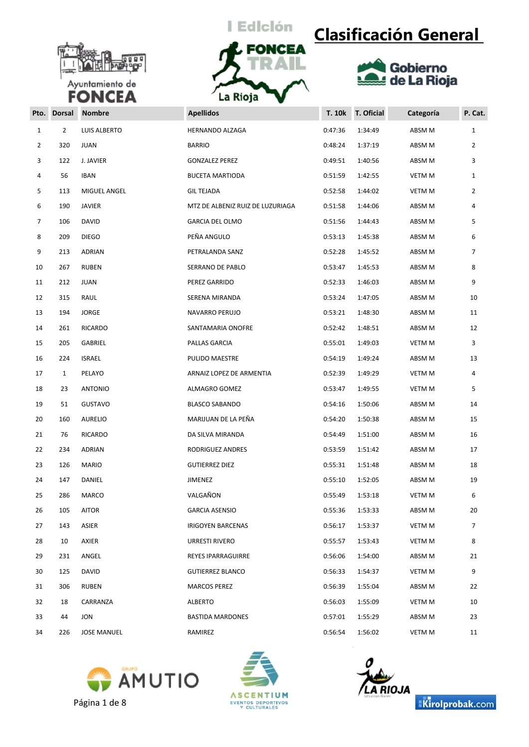



## **Clasificación General**



| Pto. | <b>Dorsal</b>  | <b>Nombre</b>       | <b>Apellidos</b>                 | <b>T. 10k</b> | T. Oficial | Categoría     | P. Cat.      |
|------|----------------|---------------------|----------------------------------|---------------|------------|---------------|--------------|
| 1    | $\overline{2}$ | <b>LUIS ALBERTO</b> | HERNANDO ALZAGA                  | 0:47:36       | 1:34:49    | ABSM M        | $\mathbf{1}$ |
| 2    | 320            | <b>JUAN</b>         | <b>BARRIO</b>                    | 0:48:24       | 1:37:19    | ABSM M        | 2            |
| 3    | 122            | J. JAVIER           | <b>GONZALEZ PEREZ</b>            | 0:49:51       | 1:40:56    | ABSM M        | 3            |
| 4    | 56             | <b>IBAN</b>         | <b>BUCETA MARTIODA</b>           | 0:51:59       | 1:42:55    | <b>VETM M</b> | 1            |
| 5    | 113            | MIGUEL ANGEL        | <b>GIL TEJADA</b>                | 0:52:58       | 1:44:02    | <b>VETM M</b> | 2            |
| 6    | 190            | JAVIER              | MTZ DE ALBENIZ RUIZ DE LUZURIAGA | 0:51:58       | 1:44:06    | ABSM M        | 4            |
| 7    | 106            | DAVID               | <b>GARCIA DEL OLMO</b>           | 0:51:56       | 1:44:43    | ABSM M        | 5            |
| 8    | 209            | <b>DIEGO</b>        | PEÑA ANGULO                      | 0:53:13       | 1:45:38    | ABSM M        | 6            |
| 9    | 213            | ADRIAN              | PETRALANDA SANZ                  | 0:52:28       | 1:45:52    | ABSM M        | 7            |
| 10   | 267            | <b>RUBEN</b>        | SERRANO DE PABLO                 | 0:53:47       | 1:45:53    | ABSM M        | 8            |
| 11   | 212            | <b>JUAN</b>         | PEREZ GARRIDO                    | 0:52:33       | 1:46:03    | ABSM M        | 9            |
| 12   | 315            | RAUL                | SERENA MIRANDA                   | 0:53:24       | 1:47:05    | ABSM M        | 10           |
| 13   | 194            | <b>JORGE</b>        | NAVARRO PERUJO                   | 0:53:21       | 1:48:30    | ABSM M        | 11           |
| 14   | 261            | <b>RICARDO</b>      | SANTAMARIA ONOFRE                | 0:52:42       | 1:48:51    | ABSM M        | 12           |
| 15   | 205            | GABRIEL             | PALLAS GARCIA                    | 0:55:01       | 1:49:03    | VETM M        | 3            |
| 16   | 224            | <b>ISRAEL</b>       | PULIDO MAESTRE                   | 0:54:19       | 1:49:24    | ABSM M        | 13           |
| 17   | $\mathbf{1}$   | PELAYO              | ARNAIZ LOPEZ DE ARMENTIA         | 0:52:39       | 1:49:29    | <b>VETM M</b> | 4            |
| 18   | 23             | <b>ANTONIO</b>      | ALMAGRO GOMEZ                    | 0:53:47       | 1:49:55    | <b>VETM M</b> | 5            |
| 19   | 51             | <b>GUSTAVO</b>      | <b>BLASCO SABANDO</b>            | 0:54:16       | 1:50:06    | ABSM M        | 14           |
| 20   | 160            | AURELIO             | MARIJUAN DE LA PEÑA              | 0:54:20       | 1:50:38    | ABSM M        | 15           |
| 21   | 76             | RICARDO             | DA SILVA MIRANDA                 | 0:54:49       | 1:51:00    | ABSM M        | 16           |
| 22   | 234            | ADRIAN              | RODRIGUEZ ANDRES                 | 0:53:59       | 1:51:42    | ABSM M        | 17           |
| 23   | 126            | <b>MARIO</b>        | <b>GUTIERREZ DIEZ</b>            | 0:55:31       | 1:51:48    | ABSM M        | 18           |
| 24   | 147            | DANIEL              | JIMENEZ                          | 0:55:10       | 1:52:05    | ABSM M        | 19           |
| 25   | 286            | MARCO               | VALGAÑON                         | 0:55:49       | 1:53:18    | <b>VETM M</b> | 6            |
| 26   | 105            | AITOR               | <b>GARCIA ASENSIO</b>            | 0:55:36       | 1:53:33    | ABSM M        | 20           |
| 27   | 143            | ASIER               | <b>IRIGOYEN BARCENAS</b>         | 0:56:17       | 1:53:37    | <b>VETM M</b> | 7            |
| 28   | 10             | AXIER               | URRESTI RIVERO                   | 0:55:57       | 1:53:43    | <b>VETM M</b> | 8            |
| 29   | 231            | ANGEL               | REYES IPARRAGUIRRE               | 0:56:06       | 1:54:00    | ABSM M        | 21           |
| 30   | 125            | DAVID               | <b>GUTIERREZ BLANCO</b>          | 0:56:33       | 1:54:37    | <b>VETM M</b> | 9            |
| 31   | 306            | <b>RUBEN</b>        | <b>MARCOS PEREZ</b>              | 0:56:39       | 1:55:04    | ABSM M        | 22           |
| 32   | 18             | CARRANZA            | ALBERTO                          | 0:56:03       | 1:55:09    | <b>VETM M</b> | 10           |
| 33   | 44             | JON                 | <b>BASTIDA MARDONES</b>          | 0:57:01       | 1:55:29    | ABSM M        | 23           |
| 34   | 226            | <b>JOSE MANUEL</b>  | RAMIREZ                          | 0:56:54       | 1:56:02    | VETM M        | 11           |







Kirolprobak.com

Página 1 de 8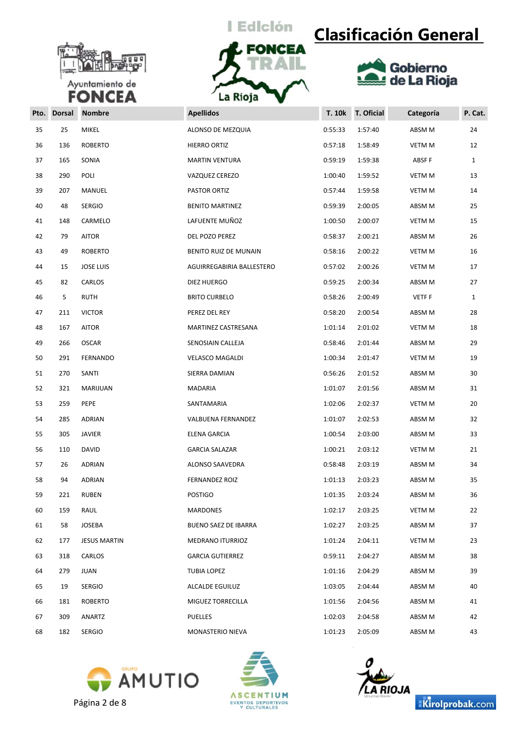



# **Clasificación General**



| Pto. | <b>Dorsal</b> | <b>Nombre</b>       | <b>Apellidos</b>            | <b>T. 10k</b> | T. Oficial | Categoría     | P. Cat.      |
|------|---------------|---------------------|-----------------------------|---------------|------------|---------------|--------------|
| 35   | 25            | <b>MIKEL</b>        | ALONSO DE MEZQUIA           | 0:55:33       | 1:57:40    | ABSM M        | 24           |
| 36   | 136           | <b>ROBERTO</b>      | HIERRO ORTIZ                | 0:57:18       | 1:58:49    | VETM M        | 12           |
| 37   | 165           | SONIA               | <b>MARTIN VENTURA</b>       | 0:59:19       | 1:59:38    | ABSF F        | $\mathbf{1}$ |
| 38   | 290           | POLI                | VAZQUEZ CEREZO              | 1:00:40       | 1:59:52    | VETM M        | 13           |
| 39   | 207           | MANUEL              | PASTOR ORTIZ                | 0:57:44       | 1:59:58    | VETM M        | 14           |
| 40   | 48            | <b>SERGIO</b>       | <b>BENITO MARTINEZ</b>      | 0:59:39       | 2:00:05    | ABSM M        | 25           |
| 41   | 148           | CARMELO             | LAFUENTE MUÑOZ              | 1:00:50       | 2:00:07    | <b>VETM M</b> | 15           |
| 42   | 79            | <b>AITOR</b>        | DEL POZO PEREZ              | 0:58:37       | 2:00:21    | ABSM M        | 26           |
| 43   | 49            | <b>ROBERTO</b>      | BENITO RUIZ DE MUNAIN       | 0:58:16       | 2:00:22    | VETM M        | 16           |
| 44   | 15            | <b>JOSE LUIS</b>    | AGUIRREGABIRIA BALLESTERO   | 0:57:02       | 2:00:26    | VETM M        | 17           |
| 45   | 82            | CARLOS              | DIEZ HUERGO                 | 0:59:25       | 2:00:34    | ABSM M        | 27           |
| 46   | 5             | <b>RUTH</b>         | <b>BRITO CURBELO</b>        | 0:58:26       | 2:00:49    | <b>VETFF</b>  | $\mathbf{1}$ |
| 47   | 211           | <b>VICTOR</b>       | PEREZ DEL REY               | 0:58:20       | 2:00:54    | ABSM M        | 28           |
| 48   | 167           | <b>AITOR</b>        | MARTINEZ CASTRESANA         | 1:01:14       | 2:01:02    | <b>VETM M</b> | 18           |
| 49   | 266           | <b>OSCAR</b>        | SENOSIAIN CALLEJA           | 0:58:46       | 2:01:44    | ABSM M        | 29           |
| 50   | 291           | FERNANDO            | <b>VELASCO MAGALDI</b>      | 1:00:34       | 2:01:47    | <b>VETM M</b> | 19           |
| 51   | 270           | SANTI               | SIERRA DAMIAN               | 0:56:26       | 2:01:52    | ABSM M        | 30           |
| 52   | 321           | MARIJUAN            | MADARIA                     | 1:01:07       | 2:01:56    | ABSM M        | 31           |
| 53   | 259           | PEPE                | SANTAMARIA                  | 1:02:06       | 2:02:37    | VETM M        | 20           |
| 54   | 285           | ADRIAN              | VALBUENA FERNANDEZ          | 1:01:07       | 2:02:53    | ABSM M        | 32           |
| 55   | 305           | <b>JAVIER</b>       | ELENA GARCIA                | 1:00:54       | 2:03:00    | ABSM M        | 33           |
| 56   | 110           | <b>DAVID</b>        | <b>GARCIA SALAZAR</b>       | 1:00:21       | 2:03:12    | <b>VETM M</b> | 21           |
| 57   | 26            | ADRIAN              | ALONSO SAAVEDRA             | 0:58:48       | 2:03:19    | ABSM M        | 34           |
| 58   | 94            | <b>ADRIAN</b>       | FERNANDEZ ROIZ              | 1:01:13       | 2:03:23    | ABSM M        | 35           |
| 59   | 221           | <b>RUBEN</b>        | <b>POSTIGO</b>              | 1:01:35       | 2:03:24    | ABSM M        | 36           |
| 60   | 159           | RAUL                | MARDONES                    | 1:02:17       | 2:03:25    | VETM M        | 22           |
| 61   | 58            | JOSEBA              | <b>BUENO SAEZ DE IBARRA</b> | 1:02:27       | 2:03:25    | ABSM M        | 37           |
| 62   | 177           | <b>JESUS MARTIN</b> | <b>MEDRANO ITURRIOZ</b>     | 1:01:24       | 2:04:11    | VETM M        | 23           |
| 63   | 318           | CARLOS              | <b>GARCIA GUTIERREZ</b>     | 0:59:11       | 2:04:27    | ABSM M        | 38           |
| 64   | 279           | JUAN                | TUBIA LOPEZ                 | 1:01:16       | 2:04:29    | ABSM M        | 39           |
| 65   | 19            | <b>SERGIO</b>       | ALCALDE EGUILUZ             | 1:03:05       | 2:04:44    | ABSM M        | 40           |
| 66   | 181           | ROBERTO             | MIGUEZ TORRECILLA           | 1:01:56       | 2:04:56    | ABSM M        | 41           |
| 67   | 309           | ANARTZ              | <b>PUELLES</b>              | 1:02:03       | 2:04:58    | ABSM M        | 42           |
| 68   | 182           | <b>SERGIO</b>       | MONASTERIO NIEVA            | 1:01:23       | 2:05:09    | ABSM M        | 43           |
|      |               |                     |                             |               |            |               |              |







Kirolprobak.com

Página 2 de 8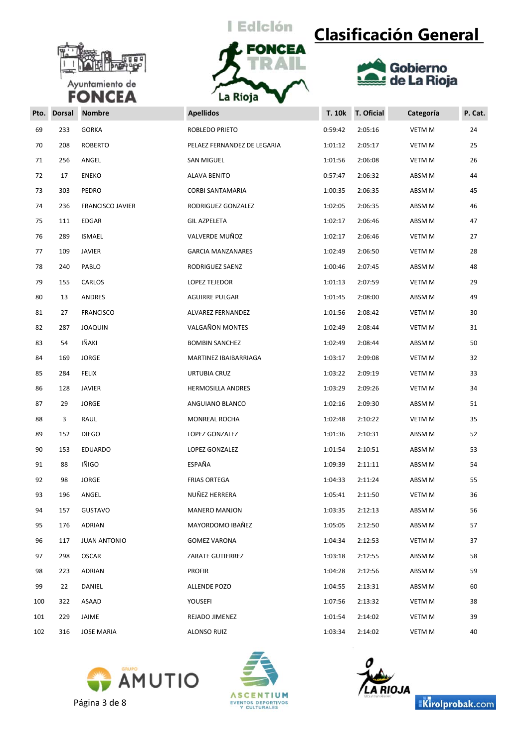



## **Clasificación General**



| Pto. | <b>Dorsal</b> | <b>Nombre</b>           | <b>Apellidos</b>            | <b>T. 10k</b> | T. Oficial | Categoría     | P. Cat. |
|------|---------------|-------------------------|-----------------------------|---------------|------------|---------------|---------|
| 69   | 233           | <b>GORKA</b>            | ROBLEDO PRIETO              | 0:59:42       | 2:05:16    | VETM M        | 24      |
| 70   | 208           | <b>ROBERTO</b>          | PELAEZ FERNANDEZ DE LEGARIA | 1:01:12       | 2:05:17    | VETM M        | 25      |
| 71   | 256           | ANGEL                   | SAN MIGUEL                  | 1:01:56       | 2:06:08    | <b>VETM M</b> | 26      |
| 72   | 17            | <b>ENEKO</b>            | <b>ALAVA BENITO</b>         | 0:57:47       | 2:06:32    | ABSM M        | 44      |
| 73   | 303           | PEDRO                   | CORBI SANTAMARIA            | 1:00:35       | 2:06:35    | ABSM M        | 45      |
| 74   | 236           | <b>FRANCISCO JAVIER</b> | RODRIGUEZ GONZALEZ          | 1:02:05       | 2:06:35    | ABSM M        | 46      |
| 75   | 111           | EDGAR                   | <b>GIL AZPELETA</b>         | 1:02:17       | 2:06:46    | ABSM M        | 47      |
| 76   | 289           | <b>ISMAEL</b>           | VALVERDE MUÑOZ              | 1:02:17       | 2:06:46    | VETM M        | 27      |
| 77   | 109           | <b>JAVIER</b>           | <b>GARCIA MANZANARES</b>    | 1:02:49       | 2:06:50    | VETM M        | 28      |
| 78   | 240           | PABLO                   | RODRIGUEZ SAENZ             | 1:00:46       | 2:07:45    | ABSM M        | 48      |
| 79   | 155           | CARLOS                  | LOPEZ TEJEDOR               | 1:01:13       | 2:07:59    | VETM M        | 29      |
| 80   | 13            | ANDRES                  | <b>AGUIRRE PULGAR</b>       | 1:01:45       | 2:08:00    | ABSM M        | 49      |
| 81   | 27            | <b>FRANCISCO</b>        | ALVAREZ FERNANDEZ           | 1:01:56       | 2:08:42    | VETM M        | 30      |
| 82   | 287           | <b>JOAQUIN</b>          | VALGAÑON MONTES             | 1:02:49       | 2:08:44    | <b>VETM M</b> | 31      |
| 83   | 54            | IÑAKI                   | <b>BOMBIN SANCHEZ</b>       | 1:02:49       | 2:08:44    | ABSM M        | 50      |
| 84   | 169           | <b>JORGE</b>            | MARTINEZ IBAIBARRIAGA       | 1:03:17       | 2:09:08    | VETM M        | 32      |
| 85   | 284           | FELIX                   | URTUBIA CRUZ                | 1:03:22       | 2:09:19    | VETM M        | 33      |
| 86   | 128           | JAVIER                  | <b>HERMOSILLA ANDRES</b>    | 1:03:29       | 2:09:26    | VETM M        | 34      |
| 87   | 29            | <b>JORGE</b>            | ANGUIANO BLANCO             | 1:02:16       | 2:09:30    | ABSM M        | 51      |
| 88   | 3             | RAUL                    | MONREAL ROCHA               | 1:02:48       | 2:10:22    | VETM M        | 35      |
| 89   | 152           | <b>DIEGO</b>            | LOPEZ GONZALEZ              | 1:01:36       | 2:10:31    | ABSM M        | 52      |
| 90   | 153           | <b>EDUARDO</b>          | LOPEZ GONZALEZ              | 1:01:54       | 2:10:51    | ABSM M        | 53      |
| 91   | 88            | IÑIGO                   | ESPAÑA                      | 1:09:39       | 2:11:11    | ABSM M        | 54      |
| 92   | 98            | <b>JORGE</b>            | <b>FRIAS ORTEGA</b>         | 1:04:33       | 2:11:24    | ABSM M        | 55      |
| 93   | 196           | ANGEL                   | NUÑEZ HERRERA               | 1:05:41       | 2:11:50    | VETM M        | 36      |
| 94   | 157           | <b>GUSTAVO</b>          | <b>MANERO MANJON</b>        | 1:03:35       | 2:12:13    | ABSM M        | 56      |
| 95   | 176           | ADRIAN                  | MAYORDOMO IBAÑEZ            | 1:05:05       | 2:12:50    | ABSM M        | 57      |
| 96   | 117           | <b>JUAN ANTONIO</b>     | <b>GOMEZ VARONA</b>         | 1:04:34       | 2:12:53    | VETM M        | 37      |
| 97   | 298           | <b>OSCAR</b>            | ZARATE GUTIERREZ            | 1:03:18       | 2:12:55    | ABSM M        | 58      |
| 98   | 223           | <b>ADRIAN</b>           | <b>PROFIR</b>               | 1:04:28       | 2:12:56    | ABSM M        | 59      |
| 99   | 22            | DANIEL                  | ALLENDE POZO                | 1:04:55       | 2:13:31    | ABSM M        | 60      |
| 100  | 322           | ASAAD                   | YOUSEFI                     | 1:07:56       | 2:13:32    | VETM M        | 38      |
| 101  | 229           | JAIME                   | REJADO JIMENEZ              | 1:01:54       | 2:14:02    | VETM M        | 39      |
| 102  | 316           | <b>JOSE MARIA</b>       | ALONSO RUIZ                 | 1:03:34       | 2:14:02    | VETM M        | 40      |









Página 3 de 8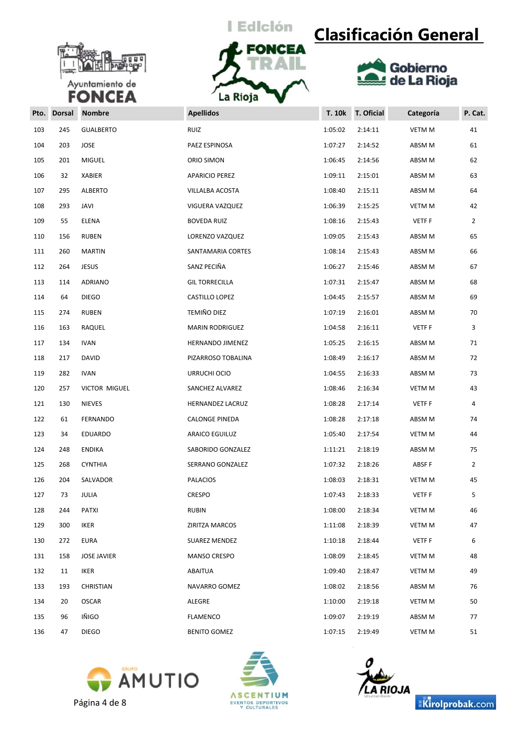



# **Clasificación General**



| Pto. | <b>Dorsal</b> | <b>Nombre</b>      | <b>Apellidos</b>       | <b>T. 10k</b> | T. Oficial | Categoría     | P. Cat.        |
|------|---------------|--------------------|------------------------|---------------|------------|---------------|----------------|
| 103  | 245           | <b>GUALBERTO</b>   | <b>RUIZ</b>            | 1:05:02       | 2:14:11    | VETM M        | 41             |
| 104  | 203           | JOSE               | PAEZ ESPINOSA          | 1:07:27       | 2:14:52    | ABSM M        | 61             |
| 105  | 201           | <b>MIGUEL</b>      | ORIO SIMON             | 1:06:45       | 2:14:56    | ABSM M        | 62             |
| 106  | 32            | XABIER             | APARICIO PEREZ         | 1:09:11       | 2:15:01    | ABSM M        | 63             |
| 107  | 295           | <b>ALBERTO</b>     | VILLALBA ACOSTA        | 1:08:40       | 2:15:11    | ABSM M        | 64             |
| 108  | 293           | JAVI               | VIGUERA VAZQUEZ        | 1:06:39       | 2:15:25    | VETM M        | 42             |
| 109  | 55            | ELENA              | BOVEDA RUIZ            | 1:08:16       | 2:15:43    | <b>VETFF</b>  | $\overline{2}$ |
| 110  | 156           | <b>RUBEN</b>       | LORENZO VAZQUEZ        | 1:09:05       | 2:15:43    | ABSM M        | 65             |
| 111  | 260           | <b>MARTIN</b>      | SANTAMARIA CORTES      | 1:08:14       | 2:15:43    | ABSM M        | 66             |
| 112  | 264           | <b>JESUS</b>       | SANZ PECIÑA            | 1:06:27       | 2:15:46    | ABSM M        | 67             |
| 113  | 114           | ADRIANO            | <b>GIL TORRECILLA</b>  | 1:07:31       | 2:15:47    | ABSM M        | 68             |
| 114  | 64            | <b>DIEGO</b>       | CASTILLO LOPEZ         | 1:04:45       | 2:15:57    | ABSM M        | 69             |
| 115  | 274           | <b>RUBEN</b>       | TEMIÑO DIEZ            | 1:07:19       | 2:16:01    | ABSM M        | 70             |
| 116  | 163           | RAQUEL             | <b>MARIN RODRIGUEZ</b> | 1:04:58       | 2:16:11    | <b>VETFF</b>  | 3              |
| 117  | 134           | <b>IVAN</b>        | HERNANDO JIMENEZ       | 1:05:25       | 2:16:15    | ABSM M        | 71             |
| 118  | 217           | DAVID              | PIZARROSO TOBALINA     | 1:08:49       | 2:16:17    | ABSM M        | 72             |
| 119  | 282           | <b>IVAN</b>        | URRUCHI OCIO           | 1:04:55       | 2:16:33    | ABSM M        | 73             |
| 120  | 257           | VICTOR MIGUEL      | SANCHEZ ALVAREZ        | 1:08:46       | 2:16:34    | VETM M        | 43             |
| 121  | 130           | <b>NIEVES</b>      | HERNANDEZ LACRUZ       | 1:08:28       | 2:17:14    | <b>VETFF</b>  | 4              |
| 122  | 61            | FERNANDO           | CALONGE PINEDA         | 1:08:28       | 2:17:18    | ABSM M        | 74             |
| 123  | 34            | EDUARDO            | ARAICO EGUILUZ         | 1:05:40       | 2:17:54    | VETM M        | 44             |
| 124  | 248           | <b>ENDIKA</b>      | SABORIDO GONZALEZ      | 1:11:21       | 2:18:19    | ABSM M        | 75             |
| 125  | 268           | <b>CYNTHIA</b>     | SERRANO GONZALEZ       | 1:07:32       | 2:18:26    | ABSF F        | $\overline{2}$ |
| 126  | 204           | SALVADOR           | PALACIOS               | 1:08:03       | 2:18:31    | VETM M        | 45             |
| 127  | 73            | JULIA              | CRESPO                 | 1:07:43       | 2:18:33    | <b>VETFF</b>  | 5              |
| 128  | 244           | <b>PATXI</b>       | <b>RUBIN</b>           | 1:08:00       | 2:18:34    | <b>VETM M</b> | 46             |
| 129  | 300           | IKER               | ZIRITZA MARCOS         | 1:11:08       | 2:18:39    | VETM M        | 47             |
| 130  | 272           | <b>EURA</b>        | SUAREZ MENDEZ          | 1:10:18       | 2:18:44    | <b>VETFF</b>  | 6              |
| 131  | 158           | <b>JOSE JAVIER</b> | <b>MANSO CRESPO</b>    | 1:08:09       | 2:18:45    | <b>VETM M</b> | 48             |
| 132  | 11            | IKER               | ABAITUA                | 1:09:40       | 2:18:47    | VETM M        | 49             |
| 133  | 193           | CHRISTIAN          | NAVARRO GOMEZ          | 1:08:02       | 2:18:56    | ABSM M        | 76             |
| 134  | 20            | <b>OSCAR</b>       | ALEGRE                 | 1:10:00       | 2:19:18    | VETM M        | 50             |
| 135  | 96            | IÑIGO              | FLAMENCO               | 1:09:07       | 2:19:19    | ABSM M        | 77             |
| 136  | 47            | <b>DIEGO</b>       | <b>BENITO GOMEZ</b>    | 1:07:15       | 2:19:49    | VETM M        | 51             |







Kirolprobak.com

Página 4 de 8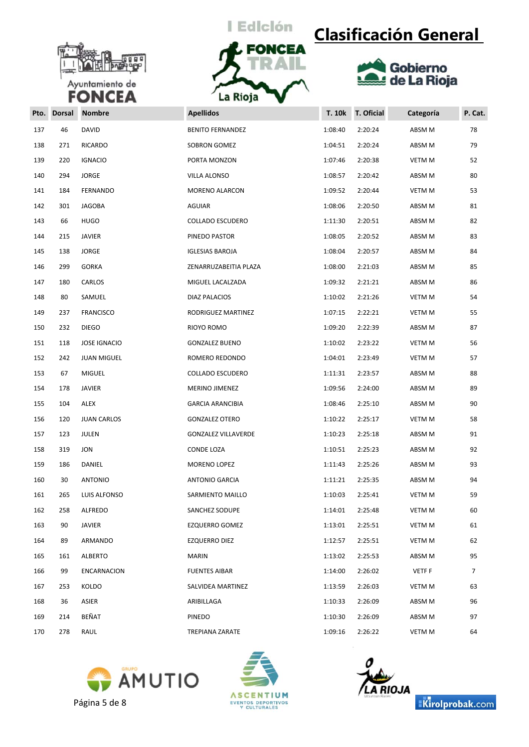



## **Clasificación General**



| Pto. | <b>Dorsal</b> | <b>Nombre</b>       | <b>Apellidos</b>           | <b>T. 10k</b> | T. Oficial | Categoría     | P. Cat. |
|------|---------------|---------------------|----------------------------|---------------|------------|---------------|---------|
| 137  | 46            | <b>DAVID</b>        | <b>BENITO FERNANDEZ</b>    | 1:08:40       | 2:20:24    | ABSM M        | 78      |
| 138  | 271           | RICARDO             | SOBRON GOMEZ               | 1:04:51       | 2:20:24    | ABSM M        | 79      |
| 139  | 220           | <b>IGNACIO</b>      | PORTA MONZON               | 1:07:46       | 2:20:38    | <b>VETM M</b> | 52      |
| 140  | 294           | <b>JORGE</b>        | VILLA ALONSO               | 1:08:57       | 2:20:42    | ABSM M        | 80      |
| 141  | 184           | FERNANDO            | MORENO ALARCON             | 1:09:52       | 2:20:44    | <b>VETM M</b> | 53      |
| 142  | 301           | <b>JAGOBA</b>       | <b>AGUIAR</b>              | 1:08:06       | 2:20:50    | ABSM M        | 81      |
| 143  | 66            | <b>HUGO</b>         | COLLADO ESCUDERO           | 1:11:30       | 2:20:51    | ABSM M        | 82      |
| 144  | 215           | <b>JAVIER</b>       | PINEDO PASTOR              | 1:08:05       | 2:20:52    | ABSM M        | 83      |
| 145  | 138           | <b>JORGE</b>        | <b>IGLESIAS BAROJA</b>     | 1:08:04       | 2:20:57    | ABSM M        | 84      |
| 146  | 299           | <b>GORKA</b>        | ZENARRUZABEITIA PLAZA      | 1:08:00       | 2:21:03    | ABSM M        | 85      |
| 147  | 180           | CARLOS              | MIGUEL LACALZADA           | 1:09:32       | 2:21:21    | ABSM M        | 86      |
| 148  | 80            | SAMUEL              | DIAZ PALACIOS              | 1:10:02       | 2:21:26    | <b>VETM M</b> | 54      |
| 149  | 237           | <b>FRANCISCO</b>    | RODRIGUEZ MARTINEZ         | 1:07:15       | 2:22:21    | <b>VETM M</b> | 55      |
| 150  | 232           | <b>DIEGO</b>        | RIOYO ROMO                 | 1:09:20       | 2:22:39    | ABSM M        | 87      |
| 151  | 118           | <b>JOSE IGNACIO</b> | <b>GONZALEZ BUENO</b>      | 1:10:02       | 2:23:22    | VETM M        | 56      |
| 152  | 242           | <b>JUAN MIGUEL</b>  | ROMERO REDONDO             | 1:04:01       | 2:23:49    | VETM M        | 57      |
| 153  | 67            | <b>MIGUEL</b>       | COLLADO ESCUDERO           | 1:11:31       | 2:23:57    | ABSM M        | 88      |
| 154  | 178           | JAVIER              | MERINO JIMENEZ             | 1:09:56       | 2:24:00    | ABSM M        | 89      |
| 155  | 104           | <b>ALEX</b>         | <b>GARCIA ARANCIBIA</b>    | 1:08:46       | 2:25:10    | ABSM M        | 90      |
| 156  | 120           | <b>JUAN CARLOS</b>  | <b>GONZALEZ OTERO</b>      | 1:10:22       | 2:25:17    | VETM M        | 58      |
| 157  | 123           | JULEN               | <b>GONZALEZ VILLAVERDE</b> | 1:10:23       | 2:25:18    | ABSM M        | 91      |
| 158  | 319           | <b>JON</b>          | CONDE LOZA                 | 1:10:51       | 2:25:23    | ABSM M        | 92      |
| 159  | 186           | DANIEL              | MORENO LOPEZ               | 1:11:43       | 2:25:26    | ABSM M        | 93      |
| 160  | 30            | <b>ANTONIO</b>      | <b>ANTONIO GARCIA</b>      | 1:11:21       | 2:25:35    | ABSM M        | 94      |
| 161  | 265           | LUIS ALFONSO        | SARMIENTO MAILLO           | 1:10:03       | 2:25:41    | <b>VETM M</b> | 59      |
| 162  | 258           | ALFREDO             | SANCHEZ SODUPE             | 1:14:01       | 2:25:48    | VETM M        | 60      |
| 163  | 90            | JAVIER              | <b>EZQUERRO GOMEZ</b>      | 1:13:01       | 2:25:51    | VETM M        | 61      |
| 164  | 89            | ARMANDO             | EZQUERRO DIEZ              | 1:12:57       | 2:25:51    | VETM M        | 62      |
| 165  | 161           | <b>ALBERTO</b>      | MARIN                      | 1:13:02       | 2:25:53    | ABSM M        | 95      |
| 166  | 99            | <b>ENCARNACION</b>  | <b>FUENTES AIBAR</b>       | 1:14:00       | 2:26:02    | VETF F        | 7       |
| 167  | 253           | KOLDO               | SALVIDEA MARTINEZ          | 1:13:59       | 2:26:03    | VETM M        | 63      |
| 168  | 36            | ASIER               | ARIBILLAGA                 | 1:10:33       | 2:26:09    | ABSM M        | 96      |
| 169  | 214           | BEÑAT               | PINEDO                     | 1:10:30       | 2:26:09    | ABSM M        | 97      |
| 170  | 278           | RAUL                | TREPIANA ZARATE            | 1:09:16       | 2:26:22    | VETM M        | 64      |







Kirolprobak.com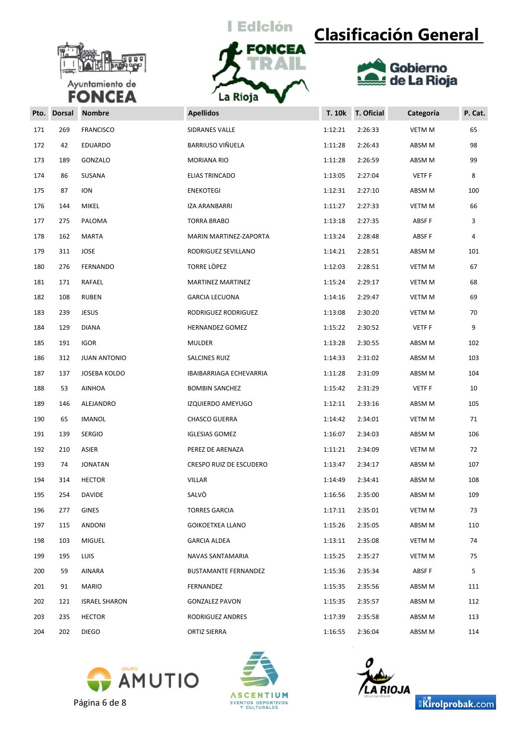



# **Clasificación General**



| Pto. | <b>Dorsal</b> | <b>Nombre</b>        | <b>Apellidos</b>            | <b>T. 10k</b> | <b>T. Oficial</b> | Categoría     | P. Cat. |
|------|---------------|----------------------|-----------------------------|---------------|-------------------|---------------|---------|
| 171  | 269           | <b>FRANCISCO</b>     | <b>SIDRANES VALLE</b>       | 1:12:21       | 2:26:33           | <b>VETM M</b> | 65      |
| 172  | 42            | <b>EDUARDO</b>       | BARRIUSO VIÑUELA            | 1:11:28       | 2:26:43           | ABSM M        | 98      |
| 173  | 189           | GONZALO              | MORIANA RIO                 | 1:11:28       | 2:26:59           | ABSM M        | 99      |
| 174  | 86            | SUSANA               | ELIAS TRINCADO              | 1:13:05       | 2:27:04           | VETF F        | 8       |
| 175  | 87            | <b>ION</b>           | <b>ENEKOTEGI</b>            | 1:12:31       | 2:27:10           | ABSM M        | 100     |
| 176  | 144           | MIKEL                | IZA ARANBARRI               | 1:11:27       | 2:27:33           | VETM M        | 66      |
| 177  | 275           | PALOMA               | TORRA BRABO                 | 1:13:18       | 2:27:35           | ABSF F        | 3       |
| 178  | 162           | MARTA                | MARIN MARTINEZ-ZAPORTA      | 1:13:24       | 2:28:48           | ABSF F        | 4       |
| 179  | 311           | JOSE                 | RODRIGUEZ SEVILLANO         | 1:14:21       | 2:28:51           | ABSM M        | 101     |
| 180  | 276           | FERNANDO             | TORRE LÒPEZ                 | 1:12:03       | 2:28:51           | VETM M        | 67      |
| 181  | 171           | RAFAEL               | MARTINEZ MARTINEZ           | 1:15:24       | 2:29:17           | VETM M        | 68      |
| 182  | 108           | <b>RUBEN</b>         | <b>GARCIA LECUONA</b>       | 1:14:16       | 2:29:47           | <b>VETM M</b> | 69      |
| 183  | 239           | <b>JESUS</b>         | RODRIGUEZ RODRIGUEZ         | 1:13:08       | 2:30:20           | VETM M        | 70      |
| 184  | 129           | <b>DIANA</b>         | <b>HERNANDEZ GOMEZ</b>      | 1:15:22       | 2:30:52           | VETF F        | 9       |
| 185  | 191           | <b>IGOR</b>          | MULDER                      | 1:13:28       | 2:30:55           | ABSM M        | 102     |
| 186  | 312           | <b>JUAN ANTONIO</b>  | SALCINES RUIZ               | 1:14:33       | 2:31:02           | ABSM M        | 103     |
| 187  | 137           | JOSEBA KOLDO         | IBAIBARRIAGA ECHEVARRIA     | 1:11:28       | 2:31:09           | ABSM M        | 104     |
| 188  | 53            | AINHOA               | <b>BOMBIN SANCHEZ</b>       | 1:15:42       | 2:31:29           | VETF F        | 10      |
| 189  | 146           | ALEJANDRO            | IZQUIERDO AMEYUGO           | 1:12:11       | 2:33:16           | ABSM M        | 105     |
| 190  | 65            | <b>IMANOL</b>        | <b>CHASCO GUERRA</b>        | 1:14:42       | 2:34:01           | VETM M        | 71      |
| 191  | 139           | <b>SERGIO</b>        | <b>IGLESIAS GOMEZ</b>       | 1:16:07       | 2:34:03           | ABSM M        | 106     |
| 192  | 210           | ASIER                | PEREZ DE ARENAZA            | 1:11:21       | 2:34:09           | VETM M        | 72      |
| 193  | 74            | <b>JONATAN</b>       | CRESPO RUIZ DE ESCUDERO     | 1:13:47       | 2:34:17           | ABSM M        | 107     |
| 194  | 314           | <b>HECTOR</b>        | VILLAR                      | 1:14:49       | 2:34:41           | ABSM M        | 108     |
| 195  | 254           | <b>DAVIDE</b>        | SALVÒ                       | 1:16:56       | 2:35:00           | ABSM M        | 109     |
| 196  | 277           | GINES                | <b>TORRES GARCIA</b>        | 1:17:11       | 2:35:01           | <b>VETM M</b> | 73      |
| 197  | 115           | ANDONI               | <b>GOIKOETXEA LLANO</b>     | 1:15:26       | 2:35:05           | ABSM M        | 110     |
| 198  | 103           | <b>MIGUEL</b>        | <b>GARCIA ALDEA</b>         | 1:13:11       | 2:35:08           | VETM M        | 74      |
| 199  | 195           | <b>LUIS</b>          | NAVAS SANTAMARIA            | 1:15:25       | 2:35:27           | VETM M        | 75      |
| 200  | 59            | AINARA               | <b>BUSTAMANTE FERNANDEZ</b> | 1:15:36       | 2:35:34           | ABSF F        | 5       |
| 201  | 91            | MARIO                | FERNANDEZ                   | 1:15:35       | 2:35:56           | ABSM M        | 111     |
| 202  | 121           | <b>ISRAEL SHARON</b> | <b>GONZALEZ PAVON</b>       | 1:15:35       | 2:35:57           | ABSM M        | 112     |
| 203  | 235           | <b>HECTOR</b>        | RODRIGUEZ ANDRES            | 1:17:39       | 2:35:58           | ABSM M        | 113     |
| 204  | 202           | <b>DIEGO</b>         | ORTIZ SIERRA                | 1:16:55       | 2:36:04           | ABSM M        | 114     |







Kirolprobak.com

Página 6 de 8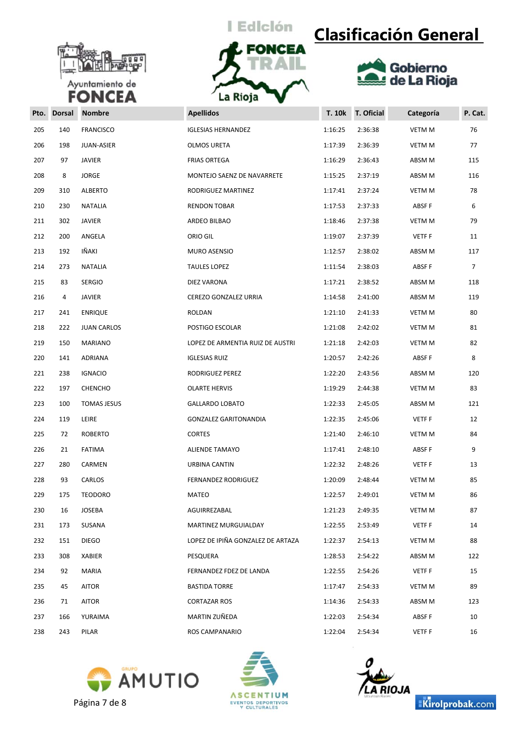



## **Clasificación General**



| Pto. | <b>Dorsal</b> | <b>Nombre</b>      | <b>Apellidos</b>                  | <b>T. 10k</b> | T. Oficial | Categoría     | P. Cat. |
|------|---------------|--------------------|-----------------------------------|---------------|------------|---------------|---------|
| 205  | 140           | <b>FRANCISCO</b>   | <b>IGLESIAS HERNANDEZ</b>         | 1:16:25       | 2:36:38    | VETM M        | 76      |
| 206  | 198           | JUAN-ASIER         | OLMOS URETA                       | 1:17:39       | 2:36:39    | <b>VETM M</b> | 77      |
| 207  | 97            | <b>JAVIER</b>      | <b>FRIAS ORTEGA</b>               | 1:16:29       | 2:36:43    | ABSM M        | 115     |
| 208  | 8             | <b>JORGE</b>       | MONTEJO SAENZ DE NAVARRETE        | 1:15:25       | 2:37:19    | ABSM M        | 116     |
| 209  | 310           | <b>ALBERTO</b>     | RODRIGUEZ MARTINEZ                | 1:17:41       | 2:37:24    | <b>VETM M</b> | 78      |
| 210  | 230           | NATALIA            | <b>RENDON TOBAR</b>               | 1:17:53       | 2:37:33    | ABSF F        | 6       |
| 211  | 302           | <b>JAVIER</b>      | ARDEO BILBAO                      | 1:18:46       | 2:37:38    | <b>VETM M</b> | 79      |
| 212  | 200           | ANGELA             | ORIO GIL                          | 1:19:07       | 2:37:39    | VETF F        | 11      |
| 213  | 192           | IÑAKI              | MURO ASENSIO                      | 1:12:57       | 2:38:02    | ABSM M        | 117     |
| 214  | 273           | <b>NATALIA</b>     | <b>TAULES LOPEZ</b>               | 1:11:54       | 2:38:03    | ABSF F        | 7       |
| 215  | 83            | <b>SERGIO</b>      | DIEZ VARONA                       | 1:17:21       | 2:38:52    | ABSM M        | 118     |
| 216  | 4             | <b>JAVIER</b>      | CEREZO GONZALEZ URRIA             | 1:14:58       | 2:41:00    | ABSM M        | 119     |
| 217  | 241           | <b>ENRIQUE</b>     | ROLDAN                            | 1:21:10       | 2:41:33    | <b>VETM M</b> | 80      |
| 218  | 222           | <b>JUAN CARLOS</b> | POSTIGO ESCOLAR                   | 1:21:08       | 2:42:02    | VETM M        | 81      |
| 219  | 150           | <b>MARIANO</b>     | LOPEZ DE ARMENTIA RUIZ DE AUSTRI  | 1:21:18       | 2:42:03    | VETM M        | 82      |
| 220  | 141           | ADRIANA            | <b>IGLESIAS RUIZ</b>              | 1:20:57       | 2:42:26    | ABSF F        | 8       |
| 221  | 238           | <b>IGNACIO</b>     | RODRIGUEZ PEREZ                   | 1:22:20       | 2:43:56    | ABSM M        | 120     |
| 222  | 197           | <b>CHENCHO</b>     | <b>OLARTE HERVIS</b>              | 1:19:29       | 2:44:38    | <b>VETM M</b> | 83      |
| 223  | 100           | <b>TOMAS JESUS</b> | <b>GALLARDO LOBATO</b>            | 1:22:33       | 2:45:05    | ABSM M        | 121     |
| 224  | 119           | LEIRE              | <b>GONZALEZ GARITONANDIA</b>      | 1:22:35       | 2:45:06    | VETF F        | 12      |
| 225  | 72            | <b>ROBERTO</b>     | <b>CORTES</b>                     | 1:21:40       | 2:46:10    | <b>VETM M</b> | 84      |
| 226  | 21            | <b>FATIMA</b>      | ALIENDE TAMAYO                    | 1:17:41       | 2:48:10    | ABSF F        | 9       |
| 227  | 280           | CARMEN             | URBINA CANTIN                     | 1:22:32       | 2:48:26    | VETF F        | 13      |
| 228  | 93            | CARLOS             | <b>FERNANDEZ RODRIGUEZ</b>        | 1:20:09       | 2:48:44    | <b>VETM M</b> | 85      |
| 229  | 175           | <b>TEODORO</b>     | <b>MATEO</b>                      | 1:22:57       | 2:49:01    | <b>VETM M</b> | 86      |
| 230  | 16            | JOSEBA             | AGUIRREZABAL                      | 1:21:23       | 2:49:35    | <b>VETM M</b> | 87      |
| 231  | 173           | SUSANA             | MARTINEZ MURGUIALDAY              | 1:22:55       | 2:53:49    | <b>VETFF</b>  | 14      |
| 232  | 151           | <b>DIEGO</b>       | LOPEZ DE IPIÑA GONZALEZ DE ARTAZA | 1:22:37       | 2:54:13    | <b>VETM M</b> | 88      |
| 233  | 308           | XABIER             | PESQUERA                          | 1:28:53       | 2:54:22    | ABSM M        | 122     |
| 234  | 92            | MARIA              | FERNANDEZ FDEZ DE LANDA           | 1:22:55       | 2:54:26    | VETF F        | 15      |
| 235  | 45            | AITOR              | <b>BASTIDA TORRE</b>              | 1:17:47       | 2:54:33    | <b>VETM M</b> | 89      |
| 236  | 71            | AITOR              | <b>CORTAZAR ROS</b>               | 1:14:36       | 2:54:33    | ABSM M        | 123     |
| 237  | 166           | YURAIMA            | MARTIN ZUÑEDA                     | 1:22:03       | 2:54:34    | ABSF F        | 10      |
| 238  | 243           | PILAR              | ROS CAMPANARIO                    | 1:22:04       | 2:54:34    | <b>VETFF</b>  | 16      |







Kirolprobak.com

Página 7 de 8